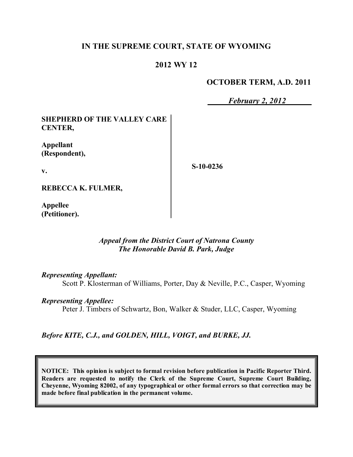## **IN THE SUPREME COURT, STATE OF WYOMING**

## **2012 WY 12**

## **OCTOBER TERM, A.D. 2011**

*February 2, 2012*

## **SHEPHERD OF THE VALLEY CARE CENTER,**

**Appellant (Respondent),**

**v.**

**S-10-0236**

**REBECCA K. FULMER,**

**Appellee (Petitioner).**

## *Appeal from the District Court of Natrona County The Honorable David B. Park, Judge*

*Representing Appellant:*

Scott P. Klosterman of Williams, Porter, Day & Neville, P.C., Casper, Wyoming

*Representing Appellee:*

Peter J. Timbers of Schwartz, Bon, Walker & Studer, LLC, Casper, Wyoming

*Before KITE, C.J., and GOLDEN, HILL, VOIGT, and BURKE, JJ.*

**NOTICE: This opinion is subject to formal revision before publication in Pacific Reporter Third. Readers are requested to notify the Clerk of the Supreme Court, Supreme Court Building, Cheyenne, Wyoming 82002, of any typographical or other formal errors so that correction may be made before final publication in the permanent volume.**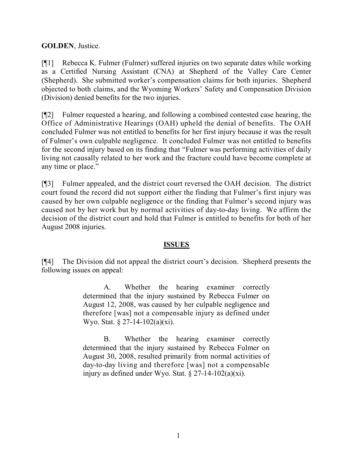**GOLDEN**, Justice.

[¶1] Rebecca K. Fulmer (Fulmer) suffered injuries on two separate dates while working as a Certified Nursing Assistant (CNA) at Shepherd of the Valley Care Center (Shepherd). She submitted worker's compensation claims for both injuries. Shepherd objected to both claims, and the Wyoming Workers' Safety and Compensation Division (Division) denied benefits for the two injuries.

[¶2] Fulmer requested a hearing, and following a combined contested case hearing, the Office of Administrative Hearings (OAH) upheld the denial of benefits. The OAH concluded Fulmer was not entitled to benefits for her first injury because it was the result of Fulmer's own culpable negligence. It concluded Fulmer was not entitled to benefits for the second injury based on its finding that "Fulmer was performing activities of daily living not causally related to her work and the fracture could have become complete at any time or place."

[¶3] Fulmer appealed, and the district court reversed the OAH decision. The district court found the record did not support either the finding that Fulmer's first injury was caused by her own culpable negligence or the finding that Fulmer's second injury was caused not by her work but by normal activities of day-to-day living. We affirm the decision of the district court and hold that Fulmer is entitled to benefits for both of her August 2008 injuries.

# **ISSUES**

[¶4] The Division did not appeal the district court's decision. Shepherd presents the following issues on appeal:

> A. Whether the hearing examiner correctly determined that the injury sustained by Rebecca Fulmer on August 12, 2008, was caused by her culpable negligence and therefore [was] not a compensable injury as defined under Wyo. Stat. § 27-14-102(a)(xi).

> B. Whether the hearing examiner correctly determined that the injury sustained by Rebecca Fulmer on August 30, 2008, resulted primarily from normal activities of day-to-day living and therefore [was] not a compensable injury as defined under Wyo. Stat.  $\S 27$ -14-102(a)(xi).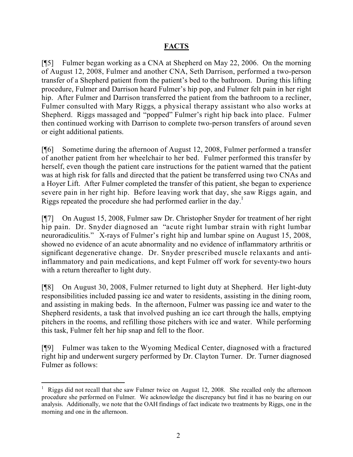# **FACTS**

[¶5] Fulmer began working as a CNA at Shepherd on May 22, 2006. On the morning of August 12, 2008, Fulmer and another CNA, Seth Darrison, performed a two-person transfer of a Shepherd patient from the patient's bed to the bathroom. During this lifting procedure, Fulmer and Darrison heard Fulmer's hip pop, and Fulmer felt pain in her right hip. After Fulmer and Darrison transferred the patient from the bathroom to a recliner, Fulmer consulted with Mary Riggs, a physical therapy assistant who also works at Shepherd. Riggs massaged and "popped" Fulmer's right hip back into place. Fulmer then continued working with Darrison to complete two-person transfers of around seven or eight additional patients.

[¶6] Sometime during the afternoon of August 12, 2008, Fulmer performed a transfer of another patient from her wheelchair to her bed. Fulmer performed this transfer by herself, even though the patient care instructions for the patient warned that the patient was at high risk for falls and directed that the patient be transferred using two CNAs and a Hoyer Lift. After Fulmer completed the transfer of this patient, she began to experience severe pain in her right hip. Before leaving work that day, she saw Riggs again, and Riggs repeated the procedure she had performed earlier in the day.<sup>1</sup>

[¶7] On August 15, 2008, Fulmer saw Dr. Christopher Snyder for treatment of her right hip pain. Dr. Snyder diagnosed an "acute right lumbar strain with right lumbar neuroradiculitis." X-rays of Fulmer's right hip and lumbar spine on August 15, 2008, showed no evidence of an acute abnormality and no evidence of inflammatory arthritis or significant degenerative change. Dr. Snyder prescribed muscle relaxants and antiinflammatory and pain medications, and kept Fulmer off work for seventy-two hours with a return thereafter to light duty.

[¶8] On August 30, 2008, Fulmer returned to light duty at Shepherd. Her light-duty responsibilities included passing ice and water to residents, assisting in the dining room, and assisting in making beds. In the afternoon, Fulmer was passing ice and water to the Shepherd residents, a task that involved pushing an ice cart through the halls, emptying pitchers in the rooms, and refilling those pitchers with ice and water. While performing this task, Fulmer felt her hip snap and fell to the floor.

[¶9] Fulmer was taken to the Wyoming Medical Center, diagnosed with a fractured right hip and underwent surgery performed by Dr. Clayton Turner. Dr. Turner diagnosed Fulmer as follows:

 $\overline{a}$ 

Riggs did not recall that she saw Fulmer twice on August 12, 2008. She recalled only the afternoon procedure she performed on Fulmer. We acknowledge the discrepancy but find it has no bearing on our analysis. Additionally, we note that the OAH findings of fact indicate two treatments by Riggs, one in the morning and one in the afternoon.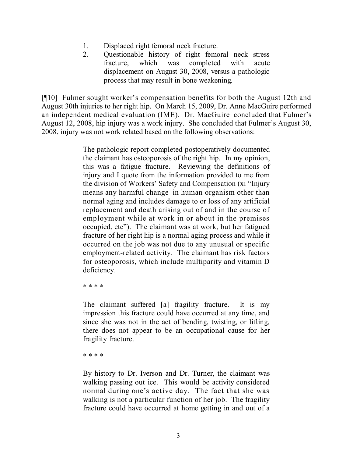- 1. Displaced right femoral neck fracture.
- 2. Questionable history of right femoral neck stress fracture, which was completed with acute displacement on August 30, 2008, versus a pathologic process that may result in bone weakening.

[¶10] Fulmer sought worker's compensation benefits for both the August 12th and August 30th injuries to her right hip. On March 15, 2009, Dr. Anne MacGuire performed an independent medical evaluation (IME). Dr. MacGuire concluded that Fulmer's August 12, 2008, hip injury was a work injury. She concluded that Fulmer's August 30, 2008, injury was not work related based on the following observations:

> The pathologic report completed postoperatively documented the claimant has osteoporosis of the right hip. In my opinion, this was a fatigue fracture. Reviewing the definitions of injury and I quote from the information provided to me from the division of Workers' Safety and Compensation (xi "Injury means any harmful change in human organism other than normal aging and includes damage to or loss of any artificial replacement and death arising out of and in the course of employment while at work in or about in the premises occupied, etc"). The claimant was at work, but her fatigued fracture of her right hip is a normal aging process and while it occurred on the job was not due to any unusual or specific employment-related activity. The claimant has risk factors for osteoporosis, which include multiparity and vitamin D deficiency.

\* \* \* \*

The claimant suffered [a] fragility fracture. It is my impression this fracture could have occurred at any time, and since she was not in the act of bending, twisting, or lifting, there does not appear to be an occupational cause for her fragility fracture.

\* \* \* \*

By history to Dr. Iverson and Dr. Turner, the claimant was walking passing out ice. This would be activity considered normal during one's active day. The fact that she was walking is not a particular function of her job. The fragility fracture could have occurred at home getting in and out of a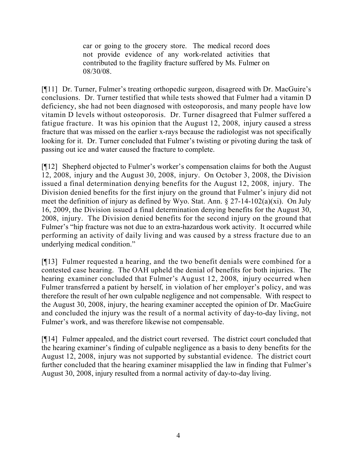car or going to the grocery store. The medical record does not provide evidence of any work-related activities that contributed to the fragility fracture suffered by Ms. Fulmer on 08/30/08.

[¶11] Dr. Turner, Fulmer's treating orthopedic surgeon, disagreed with Dr. MacGuire's conclusions. Dr. Turner testified that while tests showed that Fulmer had a vitamin D deficiency, she had not been diagnosed with osteoporosis, and many people have low vitamin D levels without osteoporosis. Dr. Turner disagreed that Fulmer suffered a fatigue fracture. It was his opinion that the August 12, 2008, injury caused a stress fracture that was missed on the earlier x-rays because the radiologist was not specifically looking for it. Dr. Turner concluded that Fulmer's twisting or pivoting during the task of passing out ice and water caused the fracture to complete.

[¶12] Shepherd objected to Fulmer's worker's compensation claims for both the August 12, 2008, injury and the August 30, 2008, injury. On October 3, 2008, the Division issued a final determination denying benefits for the August 12, 2008, injury. The Division denied benefits for the first injury on the ground that Fulmer's injury did not meet the definition of injury as defined by Wyo. Stat. Ann. § 27-14-102(a)(xi). On July 16, 2009, the Division issued a final determination denying benefits for the August 30, 2008, injury. The Division denied benefits for the second injury on the ground that Fulmer's "hip fracture was not due to an extra-hazardous work activity. It occurred while performing an activity of daily living and was caused by a stress fracture due to an underlying medical condition."

[¶13] Fulmer requested a hearing, and the two benefit denials were combined for a contested case hearing. The OAH upheld the denial of benefits for both injuries. The hearing examiner concluded that Fulmer's August 12, 2008, injury occurred when Fulmer transferred a patient by herself, in violation of her employer's policy, and was therefore the result of her own culpable negligence and not compensable. With respect to the August 30, 2008, injury, the hearing examiner accepted the opinion of Dr. MacGuire and concluded the injury was the result of a normal activity of day-to-day living, not Fulmer's work, and was therefore likewise not compensable.

[¶14] Fulmer appealed, and the district court reversed. The district court concluded that the hearing examiner's finding of culpable negligence as a basis to deny benefits for the August 12, 2008, injury was not supported by substantial evidence. The district court further concluded that the hearing examiner misapplied the law in finding that Fulmer's August 30, 2008, injury resulted from a normal activity of day-to-day living.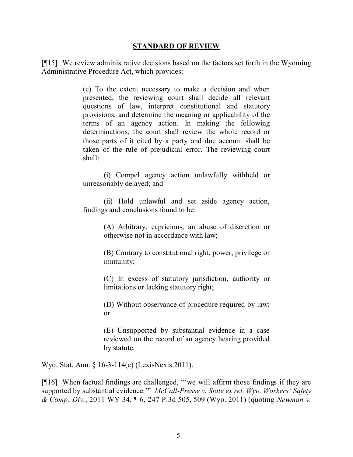#### **STANDARD OF REVIEW**

[¶15] We review administrative decisions based on the factors set forth in the Wyoming Administrative Procedure Act, which provides:

> (c) To the extent necessary to make a decision and when presented, the reviewing court shall decide all relevant questions of law, interpret constitutional and statutory provisions, and determine the meaning or applicability of the terms of an agency action. In making the following determinations, the court shall review the whole record or those parts of it cited by a party and due account shall be taken of the rule of prejudicial error. The reviewing court shall:

> (i) Compel agency action unlawfully withheld or unreasonably delayed; and

> (ii) Hold unlawful and set aside agency action, findings and conclusions found to be:

> > (A) Arbitrary, capricious, an abuse of discretion or otherwise not in accordance with law;

> > (B) Contrary to constitutional right, power, privilege or immunity;

> > (C) In excess of statutory jurisdiction, authority or limitations or lacking statutory right;

> > (D) Without observance of procedure required by law; or

> > (E) Unsupported by substantial evidence in a case reviewed on the record of an agency hearing provided by statute.

Wyo. Stat. Ann. § 16-3-114(c) (LexisNexis 2011).

[¶16] When factual findings are challenged, "we will affirm those findings if they are supported by substantial evidence.'" *McCall-Presse v. State ex rel. Wyo. Workers' Safety & Comp. Div.*, 2011 WY 34, ¶ 6, 247 P.3d 505, 509 (Wyo. 2011) (quoting *Newman v.*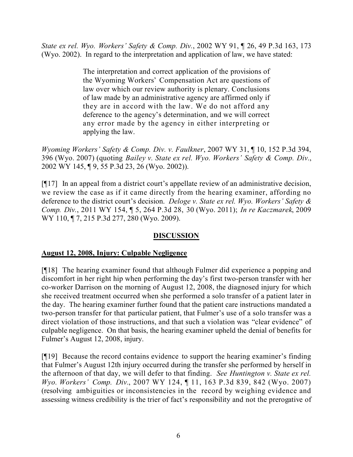*State ex rel. Wyo. Workers' Safety & Comp. Div.*, 2002 WY 91, ¶ 26, 49 P.3d 163, 173 (Wyo. 2002). In regard to the interpretation and application of law, we have stated:

> The interpretation and correct application of the provisions of the Wyoming Workers' Compensation Act are questions of law over which our review authority is plenary. Conclusions of law made by an administrative agency are affirmed only if they are in accord with the law. We do not afford any deference to the agency's determination, and we will correct any error made by the agency in either interpreting or applying the law.

*Wyoming Workers' Safety & Comp. Div. v. Faulkner*, 2007 WY 31, ¶ 10, 152 P.3d 394, 396 (Wyo. 2007) (quoting *Bailey v. State ex rel. Wyo. Workers' Safety & Comp. Div.*, 2002 WY 145, ¶ 9, 55 P.3d 23, 26 (Wyo. 2002)).

[¶17] In an appeal from a district court's appellate review of an administrative decision, we review the case as if it came directly from the hearing examiner, affording no deference to the district court's decision. *Deloge v. State ex rel. Wyo. Workers' Safety & Comp. Div.*, 2011 WY 154, ¶ 5, 264 P.3d 28, 30 (Wyo. 2011); *In re Kaczmarek*, 2009 WY 110,  $\P$  7, 215 P.3d 277, 280 (Wyo. 2009).

# **DISCUSSION**

# **August 12, 2008, Injury: Culpable Negligence**

[¶18] The hearing examiner found that although Fulmer did experience a popping and discomfort in her right hip when performing the day's first two-person transfer with her co-worker Darrison on the morning of August 12, 2008, the diagnosed injury for which she received treatment occurred when she performed a solo transfer of a patient later in the day. The hearing examiner further found that the patient care instructions mandated a two-person transfer for that particular patient, that Fulmer's use of a solo transfer was a direct violation of those instructions, and that such a violation was "clear evidence" of culpable negligence. On that basis, the hearing examiner upheld the denial of benefits for Fulmer's August 12, 2008, injury.

[¶19] Because the record contains evidence to support the hearing examiner's finding that Fulmer's August 12th injury occurred during the transfer she performed by herself in the afternoon of that day, we will defer to that finding. *See Huntington v. State ex rel. Wyo. Workers' Comp. Div.*, 2007 WY 124, ¶ 11, 163 P.3d 839, 842 (Wyo. 2007) (resolving ambiguities or inconsistencies in the record by weighing evidence and assessing witness credibility is the trier of fact's responsibility and not the prerogative of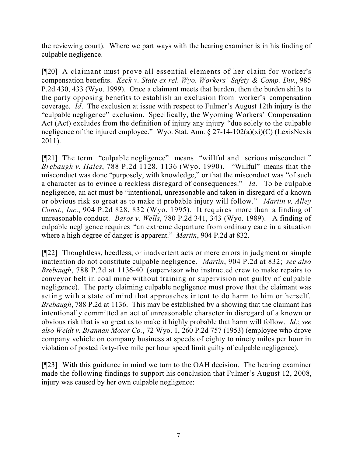the reviewing court). Where we part ways with the hearing examiner is in his finding of culpable negligence.

[¶20] A claimant must prove all essential elements of her claim for worker's compensation benefits. *Keck v. State ex rel. Wyo. Workers' Safety & Comp. Div.*, 985 P.2d 430, 433 (Wyo. 1999). Once a claimant meets that burden, then the burden shifts to the party opposing benefits to establish an exclusion from worker's compensation coverage. *Id*. The exclusion at issue with respect to Fulmer's August 12th injury is the "culpable negligence" exclusion. Specifically, the Wyoming Workers' Compensation Act (Act) excludes from the definition of injury any injury "due solely to the culpable negligence of the injured employee." Wyo. Stat. Ann. § 27-14-102(a)(xi)(C) (LexisNexis 2011).

[¶21] The term "culpable negligence" means "willful and serious misconduct." *Brebaugh v. Hales*, 788 P.2d 1128, 1136 (Wyo. 1990). "Willful" means that the misconduct was done "purposely, with knowledge," or that the misconduct was "of such a character as to evince a reckless disregard of consequences." *Id*. To be culpable negligence, an act must be "intentional, unreasonable and taken in disregard of a known or obvious risk so great as to make it probable injury will follow." *Martin v. Alley Const., Inc.*, 904 P.2d 828, 832 (Wyo. 1995). It requires more than a finding of unreasonable conduct. *Baros v. Wells*, 780 P.2d 341, 343 (Wyo. 1989). A finding of culpable negligence requires "an extreme departure from ordinary care in a situation where a high degree of danger is apparent." *Martin*, 904 P.2d at 832.

[¶22] Thoughtless, heedless, or inadvertent acts or mere errors in judgment or simple inattention do not constitute culpable negligence. *Martin*, 904 P.2d at 832; *see also Brebaugh*, 788 P.2d at 1136-40 (supervisor who instructed crew to make repairs to conveyor belt in coal mine without training or supervision not guilty of culpable negligence). The party claiming culpable negligence must prove that the claimant was acting with a state of mind that approaches intent to do harm to him or herself. *Brebaugh*, 788 P.2d at 1136. This may be established by a showing that the claimant has intentionally committed an act of unreasonable character in disregard of a known or obvious risk that is so great as to make it highly probable that harm will follow. *Id*.; *see also Weidt v. Brannan Motor Co.*, 72 Wyo. 1, 260 P.2d 757 (1953) (employee who drove company vehicle on company business at speeds of eighty to ninety miles per hour in violation of posted forty-five mile per hour speed limit guilty of culpable negligence).

[¶23] With this guidance in mind we turn to the OAH decision. The hearing examiner made the following findings to support his conclusion that Fulmer's August 12, 2008, injury was caused by her own culpable negligence: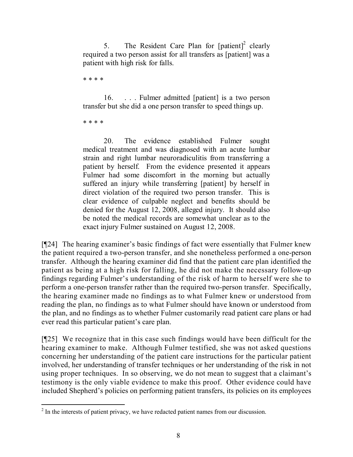5. The Resident Care Plan for  $[{\text{patient}}]^2$  clearly required a two person assist for all transfers as [patient] was a patient with high risk for falls.

\* \* \* \*

16. . . . Fulmer admitted [patient] is a two person transfer but she did a one person transfer to speed things up.

\* \* \* \*

20. The evidence established Fulmer sought medical treatment and was diagnosed with an acute lumbar strain and right lumbar neuroradiculitis from transferring a patient by herself. From the evidence presented it appears Fulmer had some discomfort in the morning but actually suffered an injury while transferring [patient] by herself in direct violation of the required two person transfer. This is clear evidence of culpable neglect and benefits should be denied for the August 12, 2008, alleged injury. It should also be noted the medical records are somewhat unclear as to the exact injury Fulmer sustained on August 12, 2008.

[¶24] The hearing examiner's basic findings of fact were essentially that Fulmer knew the patient required a two-person transfer, and she nonetheless performed a one-person transfer. Although the hearing examiner did find that the patient care plan identified the patient as being at a high risk for falling, he did not make the necessary follow-up findings regarding Fulmer's understanding of the risk of harm to herself were she to perform a one-person transfer rather than the required two-person transfer. Specifically, the hearing examiner made no findings as to what Fulmer knew or understood from reading the plan, no findings as to what Fulmer should have known or understood from the plan, and no findings as to whether Fulmer customarily read patient care plans or had ever read this particular patient's care plan.

[¶25] We recognize that in this case such findings would have been difficult for the hearing examiner to make. Although Fulmer testified, she was not asked questions concerning her understanding of the patient care instructions for the particular patient involved, her understanding of transfer techniques or her understanding of the risk in not using proper techniques. In so observing, we do not mean to suggest that a claimant's testimony is the only viable evidence to make this proof. Other evidence could have included Shepherd's policies on performing patient transfers, its policies on its employees

<sup>&</sup>lt;sup>2</sup> In the interests of patient privacy, we have redacted patient names from our discussion.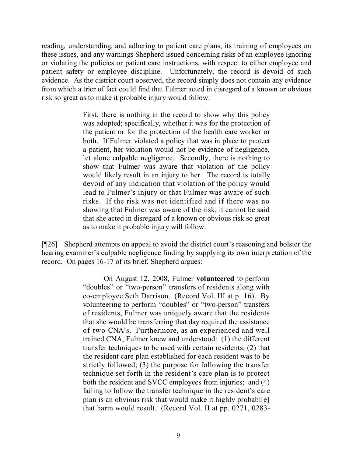reading, understanding, and adhering to patient care plans, its training of employees on these issues, and any warnings Shepherd issued concerning risks of an employee ignoring or violating the policies or patient care instructions, with respect to either employee and patient safety or employee discipline. Unfortunately, the record is devoid of such evidence. As the district court observed, the record simply does not contain any evidence from which a trier of fact could find that Fulmer acted in disregard of a known or obvious risk so great as to make it probable injury would follow:

> First, there is nothing in the record to show why this policy was adopted; specifically, whether it was for the protection of the patient or for the protection of the health care worker or both. If Fulmer violated a policy that was in place to protect a patient, her violation would not be evidence of negligence, let alone culpable negligence. Secondly, there is nothing to show that Fulmer was aware that violation of the policy would likely result in an injury to her. The record is totally devoid of any indication that violation of the policy would lead to Fulmer's injury or that Fulmer was aware of such risks. If the risk was not identified and if there was no showing that Fulmer was aware of the risk, it cannot be said that she acted in disregard of a known or obvious risk so great as to make it probable injury will follow.

[¶26] Shepherd attempts on appeal to avoid the district court's reasoning and bolster the hearing examiner's culpable negligence finding by supplying its own interpretation of the record. On pages 16-17 of its brief, Shepherd argues:

> On August 12, 2008, Fulmer **volunteered** to perform "doubles" or "two-person" transfers of residents along with co-employee Seth Darrison. (Record Vol. III at p. 16). By volunteering to perform "doubles" or "two-person" transfers of residents, Fulmer was uniquely aware that the residents that she would be transferring that day required the assistance of two CNA's. Furthermore, as an experienced and well trained CNA, Fulmer knew and understood: (1) the different transfer techniques to be used with certain residents; (2) that the resident care plan established for each resident was to be strictly followed; (3) the purpose for following the transfer technique set forth in the resident's care plan is to protect both the resident and SVCC employees from injuries; and (4) failing to follow the transfer technique in the resident's care plan is an obvious risk that would make it highly probabl[e] that harm would result. (Record Vol. II at pp. 0271, 0283-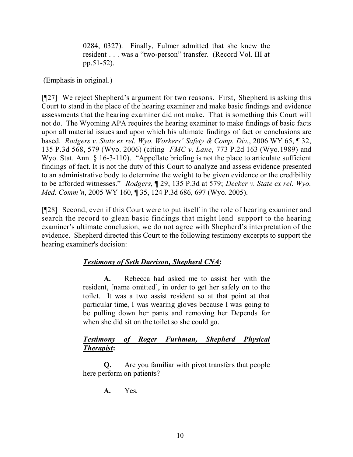0284, 0327). Finally, Fulmer admitted that she knew the resident . . . was a "two-person" transfer. (Record Vol. III at pp.51-52).

(Emphasis in original.)

[¶27] We reject Shepherd's argument for two reasons. First, Shepherd is asking this Court to stand in the place of the hearing examiner and make basic findings and evidence assessments that the hearing examiner did not make. That is something this Court will not do. The Wyoming APA requires the hearing examiner to make findings of basic facts upon all material issues and upon which his ultimate findings of fact or conclusions are based. *Rodgers v. State ex rel. Wyo. Workers' Safety & Comp. Div.*, 2006 WY 65, ¶ 32, 135 P.3d 568, 579 (Wyo. 2006) (citing *FMC v. Lane*, 773 P.2d 163 (Wyo.1989) and Wyo. Stat. Ann. § 16-3-110). "Appellate briefing is not the place to articulate sufficient findings of fact. It is not the duty of this Court to analyze and assess evidence presented to an administrative body to determine the weight to be given evidence or the credibility to be afforded witnesses." *Rodgers*, ¶ 29, 135 P.3d at 579; *Decker v. State ex rel. Wyo. Med. Comm'n*, 2005 WY 160, ¶ 35, 124 P.3d 686, 697 (Wyo. 2005).

[¶28] Second, even if this Court were to put itself in the role of hearing examiner and search the record to glean basic findings that might lend support to the hearing examiner's ultimate conclusion, we do not agree with Shepherd's interpretation of the evidence. Shepherd directed this Court to the following testimony excerpts to support the hearing examiner's decision:

# *Testimony of Seth Darrison, Shepherd CNA***:**

**A.** Rebecca had asked me to assist her with the resident, [name omitted], in order to get her safely on to the toilet. It was a two assist resident so at that point at that particular time, I was wearing gloves because I was going to be pulling down her pants and removing her Depends for when she did sit on the toilet so she could go.

## *Testimony of Roger Furhman, Shepherd Physical Therapist***:**

**Q.** Are you familiar with pivot transfers that people here perform on patients?

**A.** Yes.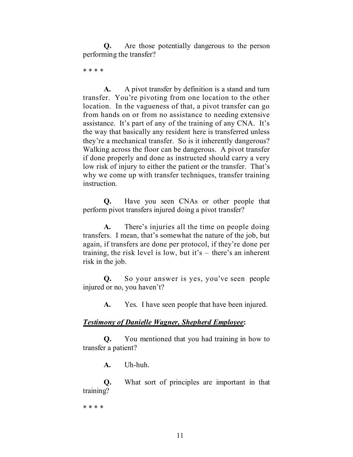**Q.** Are those potentially dangerous to the person performing the transfer?

\* \* \* \*

**A.** A pivot transfer by definition is a stand and turn transfer. You're pivoting from one location to the other location. In the vagueness of that, a pivot transfer can go from hands on or from no assistance to needing extensive assistance. It's part of any of the training of any CNA. It's the way that basically any resident here is transferred unless they're a mechanical transfer. So is it inherently dangerous? Walking across the floor can be dangerous. A pivot transfer if done properly and done as instructed should carry a very low risk of injury to either the patient or the transfer. That's why we come up with transfer techniques, transfer training instruction.

**Q.** Have you seen CNAs or other people that perform pivot transfers injured doing a pivot transfer?

**A.** There's injuries all the time on people doing transfers. I mean, that's somewhat the nature of the job, but again, if transfers are done per protocol, if they're done per training, the risk level is low, but it's – there's an inherent risk in the job.

**Q.** So your answer is yes, you've seen people injured or no, you haven't?

**A.** Yes. I have seen people that have been injured.

# *Testimony of Danielle Wagner, Shepherd Employee***:**

**Q.** You mentioned that you had training in how to transfer a patient?

**A.** Uh-huh.

**Q.** What sort of principles are important in that training?

\* \* \* \*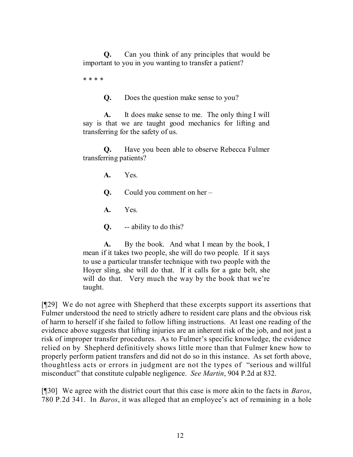**Q.** Can you think of any principles that would be important to you in you wanting to transfer a patient?

\* \* \* \*

**Q.** Does the question make sense to you?

**A.** It does make sense to me. The only thing I will say is that we are taught good mechanics for lifting and transferring for the safety of us.

**Q.** Have you been able to observe Rebecca Fulmer transferring patients?

**A.** Yes.

**Q.** Could you comment on her –

**A.** Yes.

**Q.** -- ability to do this?

**A.** By the book. And what I mean by the book, I mean if it takes two people, she will do two people. If it says to use a particular transfer technique with two people with the Hoyer sling, she will do that. If it calls for a gate belt, she will do that. Very much the way by the book that we're taught.

[¶29] We do not agree with Shepherd that these excerpts support its assertions that Fulmer understood the need to strictly adhere to resident care plans and the obvious risk of harm to herself if she failed to follow lifting instructions. At least one reading of the evidence above suggests that lifting injuries are an inherent risk of the job, and not just a risk of improper transfer procedures. As to Fulmer's specific knowledge, the evidence relied on by Shepherd definitively shows little more than that Fulmer knew how to properly perform patient transfers and did not do so in this instance. As set forth above, thoughtless acts or errors in judgment are not the types of "serious and willful misconduct" that constitute culpable negligence. *See Martin*, 904 P.2d at 832.

[¶30] We agree with the district court that this case is more akin to the facts in *Baros*, 780 P.2d 341. In *Baros*, it was alleged that an employee's act of remaining in a hole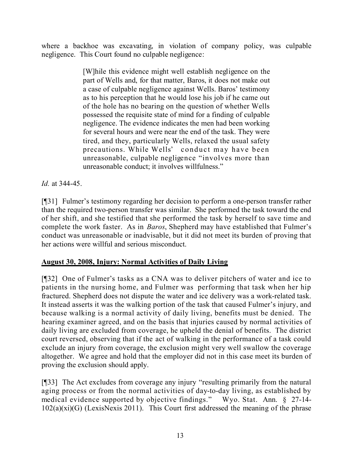where a backhoe was excavating, in violation of company policy, was culpable negligence. This Court found no culpable negligence:

> [W]hile this evidence might well establish negligence on the part of Wells and, for that matter, Baros, it does not make out a case of culpable negligence against Wells. Baros' testimony as to his perception that he would lose his job if he came out of the hole has no bearing on the question of whether Wells possessed the requisite state of mind for a finding of culpable negligence. The evidence indicates the men had been working for several hours and were near the end of the task. They were tired, and they, particularly Wells, relaxed the usual safety precautions. While Wells' conduct may have been unreasonable, culpable negligence "involves more than unreasonable conduct; it involves willfulness."

*Id.* at 344-45.

[¶31] Fulmer's testimony regarding her decision to perform a one-person transfer rather than the required two-person transfer was similar. She performed the task toward the end of her shift, and she testified that she performed the task by herself to save time and complete the work faster. As in *Baros*, Shepherd may have established that Fulmer's conduct was unreasonable or inadvisable, but it did not meet its burden of proving that her actions were willful and serious misconduct.

# **August 30, 2008, Injury: Normal Activities of Daily Living**

[¶32] One of Fulmer's tasks as a CNA was to deliver pitchers of water and ice to patients in the nursing home, and Fulmer was performing that task when her hip fractured. Shepherd does not dispute the water and ice delivery was a work-related task. It instead asserts it was the walking portion of the task that caused Fulmer's injury, and because walking is a normal activity of daily living, benefits must be denied. The hearing examiner agreed, and on the basis that injuries caused by normal activities of daily living are excluded from coverage, he upheld the denial of benefits. The district court reversed, observing that if the act of walking in the performance of a task could exclude an injury from coverage, the exclusion might very well swallow the coverage altogether. We agree and hold that the employer did not in this case meet its burden of proving the exclusion should apply.

[¶33] The Act excludes from coverage any injury "resulting primarily from the natural aging process or from the normal activities of day-to-day living, as established by medical evidence supported by objective findings." Wyo. Stat. Ann. § 27-14-  $102(a)(xi)(G)$  (LexisNexis 2011). This Court first addressed the meaning of the phrase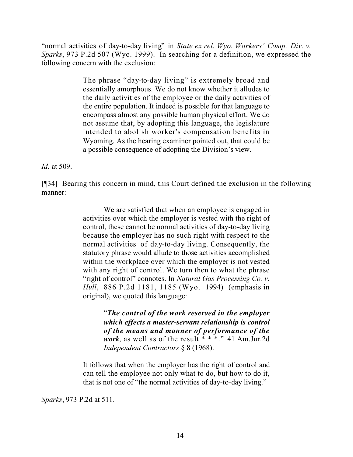"normal activities of day-to-day living" in *State ex rel. Wyo. Workers' Comp. Div. v. Sparks*, 973 P.2d 507 (Wyo. 1999). In searching for a definition, we expressed the following concern with the exclusion:

> The phrase "day-to-day living" is extremely broad and essentially amorphous. We do not know whether it alludes to the daily activities of the employee or the daily activities of the entire population. It indeed is possible for that language to encompass almost any possible human physical effort. We do not assume that, by adopting this language, the legislature intended to abolish worker's compensation benefits in Wyoming. As the hearing examiner pointed out, that could be a possible consequence of adopting the Division's view.

*Id.* at 509.

[¶34] Bearing this concern in mind, this Court defined the exclusion in the following manner:

> We are satisfied that when an employee is engaged in activities over which the employer is vested with the right of control, these cannot be normal activities of day-to-day living because the employer has no such right with respect to the normal activities of day-to-day living. Consequently, the statutory phrase would allude to those activities accomplished within the workplace over which the employer is not vested with any right of control. We turn then to what the phrase "right of control" connotes. In *Natural Gas Processing Co. v. Hull*, 886 P.2d 1181, 1185 (Wyo. 1994) (emphasis in original), we quoted this language:

> > "*The control of the work reserved in the employer which effects a master-servant relationship is control of the means and manner of performance of the work*, as well as of the result  $**$ ." 41 Am.Jur.2d *Independent Contractors* § 8 (1968).

It follows that when the employer has the right of control and can tell the employee not only what to do, but how to do it, that is not one of "the normal activities of day-to-day living."

*Sparks*, 973 P.2d at 511.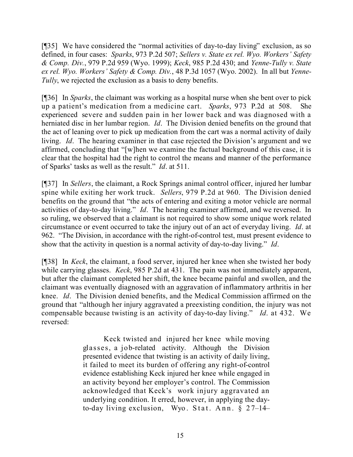[¶35] We have considered the "normal activities of day-to-day living" exclusion, as so defined, in four cases: *Sparks*, 973 P.2d 507; *Sellers v. State ex rel. Wyo. Workers' Safety & Comp. Div.*, 979 P.2d 959 (Wyo. 1999); *Keck*, 985 P.2d 430; and *Yenne-Tully v. State ex rel. Wyo. Workers' Safety & Comp. Div.*, 48 P.3d 1057 (Wyo. 2002). In all but *Yenne-Tully*, we rejected the exclusion as a basis to deny benefits.

[¶36] In *Sparks*, the claimant was working as a hospital nurse when she bent over to pick up a patient's medication from a medicine cart. *Sparks*, 973 P.2d at 508. She experienced severe and sudden pain in her lower back and was diagnosed with a herniated disc in her lumbar region. *Id*. The Division denied benefits on the ground that the act of leaning over to pick up medication from the cart was a normal activity of daily living. *Id*. The hearing examiner in that case rejected the Division's argument and we affirmed, concluding that "[w]hen we examine the factual background of this case, it is clear that the hospital had the right to control the means and manner of the performance of Sparks' tasks as well as the result." *Id*. at 511.

[¶37] In *Sellers*, the claimant, a Rock Springs animal control officer, injured her lumbar spine while exiting her work truck. *Sellers*, 979 P.2d at 960. The Division denied benefits on the ground that "the acts of entering and exiting a motor vehicle are normal activities of day-to-day living." *Id*. The hearing examiner affirmed, and we reversed. In so ruling, we observed that a claimant is not required to show some unique work related circumstance or event occurred to take the injury out of an act of everyday living. *Id*. at 962. "The Division, in accordance with the right-of-control test, must present evidence to show that the activity in question is a normal activity of day-to-day living." *Id*.

[¶38] In *Keck*, the claimant, a food server, injured her knee when she twisted her body while carrying glasses. *Keck*, 985 P.2d at 431. The pain was not immediately apparent, but after the claimant completed her shift, the knee became painful and swollen, and the claimant was eventually diagnosed with an aggravation of inflammatory arthritis in her knee. *Id*. The Division denied benefits, and the Medical Commission affirmed on the ground that "although her injury aggravated a preexisting condition, the injury was not compensable because twisting is an activity of day-to-day living." *Id*. at 432. We reversed:

> Keck twisted and injured her knee while moving glasses, a job-related activity. Although the Division presented evidence that twisting is an activity of daily living, it failed to meet its burden of offering any right-of-control evidence establishing Keck injured her knee while engaged in an activity beyond her employer's control. The Commission acknowledged that Keck's work injury aggravated an underlying condition. It erred, however, in applying the dayto-day living exclusion, Wyo. Stat. Ann. § 27–14–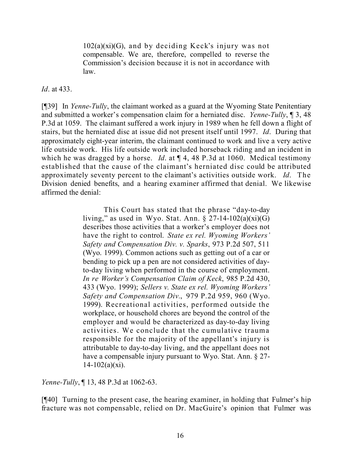102(a)(xi)(G), and by deciding Keck's injury was not compensable. We are, therefore, compelled to reverse the Commission's decision because it is not in accordance with law.

*Id*. at 433.

[¶39] In *Yenne-Tully*, the claimant worked as a guard at the Wyoming State Penitentiary and submitted a worker's compensation claim for a herniated disc. *Yenne-Tully*, ¶ 3, 48 P.3d at 1059. The claimant suffered a work injury in 1989 when he fell down a flight of stairs, but the herniated disc at issue did not present itself until 1997. *Id*. During that approximately eight-year interim, the claimant continued to work and live a very active life outside work. His life outside work included horseback riding and an incident in which he was dragged by a horse. *Id*. at ¶ 4, 48 P.3d at 1060. Medical testimony established that the cause of the claimant's herniated disc could be attributed approximately seventy percent to the claimant's activities outside work. *Id*. The Division denied benefits, and a hearing examiner affirmed that denial. We likewise affirmed the denial:

> This Court has stated that the phrase "day-to-day living," as used in Wyo. Stat. Ann.  $\S 27$ -14-102(a)(xi)(G) describes those activities that a worker's employer does not have the right to control. *State ex rel. Wyoming Workers' Safety and Compensation Div. v. Sparks*, 973 P.2d 507, 511 (Wyo. 1999). Common actions such as getting out of a car or bending to pick up a pen are not considered activities of dayto-day living when performed in the course of employment. *In re Worker's Compensation Claim of Keck*, 985 P.2d 430, 433 (Wyo. 1999); *Sellers v. State ex rel. Wyoming Workers' Safety and Compensation Div.*, 979 P.2d 959, 960 (Wyo. 1999). Recreational activities, performed outside the workplace, or household chores are beyond the control of the employer and would be characterized as day-to-day living activities. We conclude that the cumulative trauma responsible for the majority of the appellant's injury is attributable to day-to-day living, and the appellant does not have a compensable injury pursuant to Wyo. Stat. Ann. § 27-  $14 - 102(a)(xi)$ .

*Yenne-Tully*, ¶ 13, 48 P.3d at 1062-63.

[¶40] Turning to the present case, the hearing examiner, in holding that Fulmer's hip fracture was not compensable, relied on Dr. MacGuire's opinion that Fulmer was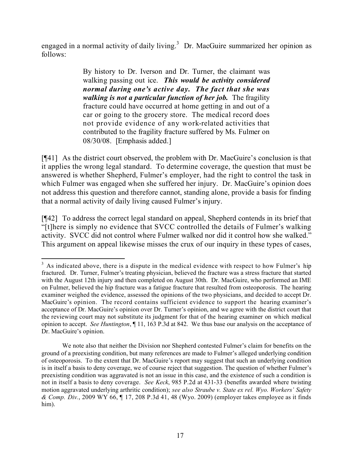engaged in a normal activity of daily living.<sup>3</sup> Dr. MacGuire summarized her opinion as follows:

> By history to Dr. Iverson and Dr. Turner, the claimant was walking passing out ice. *This would be activity considered normal during one's active day. The fact that she was walking is not a particular function of her job.* The fragility fracture could have occurred at home getting in and out of a car or going to the grocery store. The medical record does not provide evidence of any work-related activities that contributed to the fragility fracture suffered by Ms. Fulmer on 08/30/08. [Emphasis added.]

[¶41] As the district court observed, the problem with Dr. MacGuire's conclusion is that it applies the wrong legal standard. To determine coverage, the question that must be answered is whether Shepherd, Fulmer's employer, had the right to control the task in which Fulmer was engaged when she suffered her injury. Dr. MacGuire's opinion does not address this question and therefore cannot, standing alone, provide a basis for finding that a normal activity of daily living caused Fulmer's injury.

[¶42] To address the correct legal standard on appeal, Shepherd contends in its brief that "[t]here is simply no evidence that SVCC controlled the details of Fulmer's walking activity. SVCC did not control where Fulmer walked nor did it control how she walked." This argument on appeal likewise misses the crux of our inquiry in these types of cases,

 $\overline{a}$ 

 $3$  As indicated above, there is a dispute in the medical evidence with respect to how Fulmer's hip fractured. Dr. Turner, Fulmer's treating physician, believed the fracture was a stress fracture that started with the August 12th injury and then completed on August 30th. Dr. MacGuire, who performed an IME on Fulmer, believed the hip fracture was a fatigue fracture that resulted from osteoporosis. The hearing examiner weighed the evidence, assessed the opinions of the two physicians, and decided to accept Dr. MacGuire's opinion. The record contains sufficient evidence to support the hearing examiner's acceptance of Dr. MacGuire's opinion over Dr. Turner's opinion, and we agree with the district court that the reviewing court may not substitute its judgment for that of the hearing examiner on which medical opinion to accept. *See Huntington*, ¶ 11, 163 P.3d at 842. We thus base our analysis on the acceptance of Dr. MacGuire's opinion.

We note also that neither the Division nor Shepherd contested Fulmer's claim for benefits on the ground of a preexisting condition, but many references are made to Fulmer's alleged underlying condition of osteoporosis. To the extent that Dr. MacGuire's report may suggest that such an underlying condition is in itself a basis to deny coverage, we of course reject that suggestion. The question of whether Fulmer's preexisting condition was aggravated is not an issue in this case, and the existence of such a condition is not in itself a basis to deny coverage. *See Keck*, 985 P.2d at 431-33 (benefits awarded where twisting motion aggravated underlying arthritic condition); *see also Straube v. State ex rel. Wyo. Workers' Safety & Comp. Div.*, 2009 WY 66, ¶ 17, 208 P.3d 41, 48 (Wyo. 2009) (employer takes employee as it finds him).